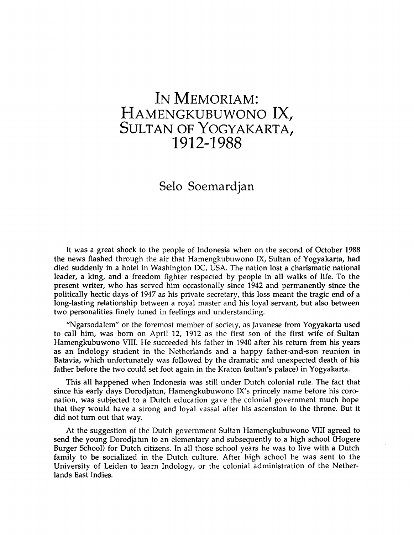## **In Memoriam: Hamengkubuwono IX, Sultan of Yogyakarta,** 1912-1988

## **Selo Soemardjan**

It was a great shock to the people of Indonesia when on the second of October 1988 the news flashed through the air that Hamengkubuwono IX, Sultan of Yogyakarta, had died suddenly in a hotel in Washington DC, USA. The nation lost a charismatic national leader, a king, and a freedom fighter respected by people in all walks of life. To the present writer, who has served him occasionally since 1942 and permanently since the politically hectic days of 1947 as his private secretary, this loss meant the tragic end of a long-lasting relationship between a royal master and his loyal servant, but also between two personalities finely tuned in feelings and understanding.

"Ngarsodalem" or the foremost member of society, as Javanese from Yogyakarta used to call him, was born on April 12, 1912 as the first son of the first wife of Sultan Hamengkubuwono VIII. He succeeded his father in 1940 after his return from his years as an Indology student in the Netherlands and a happy father-and-son reunion in Batavia, which unfortunately was followed by the dramatic and unexpected death of his father before the two could set foot again in the Kraton (sultan's palace) in Yogyakarta.

This all happened when Indonesia was still under Dutch colonial rule. The fact that since his early days Dorodjatun, Hamengkubuwono IX's princely name before his coronation, was subjected to a Dutch education gave the colonial government much hope that they would have a strong and loyal vassal after his ascension to the throne. But it did not turn out that way.

At the suggestion of the Dutch government Sultan Hamengkubuwono VIII agreed to send the young Dorodjatun to an elementary and subsequently to a high school (Hogere Burger School) for Dutch citizens. In all those school years he was to live with a Dutch family to be socialized in the Dutch culture. After high school he was sent to the University of Leiden to learn Indology, or the colonial administration of the Netherlands East Indies.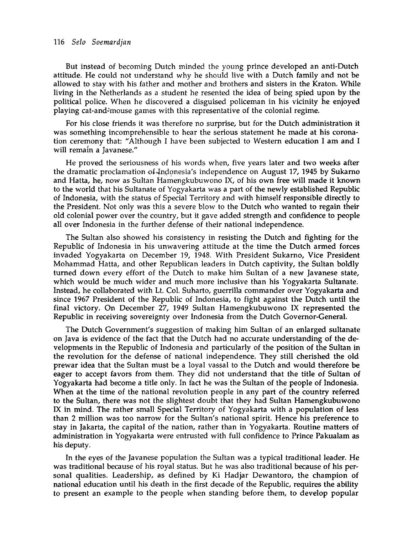## 116 *Selo Soemardjan*

But instead of becoming Dutch minded the young prince developed an anti-Dutch attitude. He could not understand why he should live with a Dutch family and not be allowed to stay with his father and mother and brothers and sisters in the Kraton. While living in the Netherlands as a student he resented the idea of being spied upon by the political police. When he discovered a disguised policeman in his vicinity he enjoyed playing cat-and-mouse games with this representative of the colonial regime.

For his close friends it was therefore no surprise, but for the Dutch administration it was something incomprehensible to hear the serious statement he made at his coronation ceremony that: "Although I have been subjected to Western education I am and I will remain a Javanese."

He proved the seriousness of his words when, five years later and two weeks after the dramatic proclamation of Indonesia's independence on August 17, 1945 by Sukarno and Hatta, he, now as Sultan Hamengkubuwono IX, of his own free will made it known to the world that his Sultanate of Yogyakarta was a part of the newly established Republic of Indonesia, with the status of Special Territory and with himself responsible directly to the President. Not only was this a severe blow to the Dutch who wanted to regain their old colonial power over the country, but it gave added strength and confidence to people all over Indonesia in the further defense of their national independence.

The Sultan also showed his consistency in resisting the Dutch and fighting for the Republic of Indonesia in his unwavering attitude at the time the Dutch armed forces invaded Yogyakarta on December 19, 1948. With President Sukarno, Vice President Mohammad Hatta, and other Republican leaders in Dutch captivity, the Sultan boldly turned down every effort of the Dutch to make him Sultan of a new Javanese state, which would be much wider and much more inclusive than his Yogyakarta Sultanate. Instead, he collaborated with Lt. Col. Suharto, guerrilla commander over Yogyakarta and since 1967 President of the Republic of Indonesia, to fight against the Dutch until the final victory. On December 27, 1949 Sultan Hamengkubuwono IX represented the Republic in receiving sovereignty over Indonesia from the Dutch Governor-General.

The Dutch Government's suggestion of making him Sultan of an enlarged sultanate on Java is evidence of the fact that the Dutch had no accurate understanding of the developments in the Republic of Indonesia and particularly of the position of the Sultan in the revolution for the defense of national independence. They still cherished the old prewar idea that the Sultan must be a loyal vassal to the Dutch and would therefore be eager to accept favors from them. They did not understand that the title of Sultan of Yogyakarta had become a title only. In fact he was the Sultan of the people of Indonesia. When at the time of the national revolution people in any part of the country referred to the Sultan, there was not the slightest doubt that they had Sultan Hamengkubuwono IX in mind. The rather small Special Territory of Yogyakarta with a population of less than 2 million was too narrow for the Sultan's national spirit. Hence his preference to stay in Jakarta, the capital of the nation, rather than in Yogyakarta. Routine matters of administration in Yogyakarta were entrusted with full confidence to Prince Pakualam as his deputy.

In the eyes of the Javanese population the Sultan was a typical traditional leader. He was traditional because of his royal status. But he was also traditional because of his personal qualities. Leadership, as defined by Ki Hadjar Dewantoro, the champion of national education until his death in the first decade of the Republic, requires the ability to present an example to the people when standing before them, to develop popular